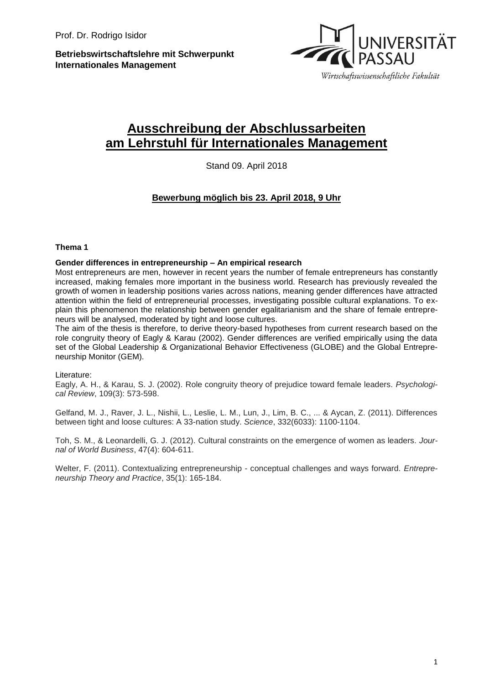**Betriebswirtschaftslehre mit Schwerpunkt Internationales Management**



# **Ausschreibung der Abschlussarbeiten am Lehrstuhl für Internationales Management**

Stand 09. April 2018

# **Bewerbung möglich bis 23. April 2018, 9 Uhr**

#### **Thema 1**

#### **Gender differences in entrepreneurship – An empirical research**

Most entrepreneurs are men, however in recent years the number of female entrepreneurs has constantly increased, making females more important in the business world. Research has previously revealed the growth of women in leadership positions varies across nations, meaning gender differences have attracted attention within the field of entrepreneurial processes, investigating possible cultural explanations. To explain this phenomenon the relationship between gender egalitarianism and the share of female entrepreneurs will be analysed, moderated by tight and loose cultures.

The aim of the thesis is therefore, to derive theory-based hypotheses from current research based on the role congruity theory of Eagly & Karau (2002). Gender differences are verified empirically using the data set of the Global Leadership & Organizational Behavior Effectiveness (GLOBE) and the Global Entrepreneurship Monitor (GEM).

Literature:

Eagly, A. H., & Karau, S. J. (2002). Role congruity theory of prejudice toward female leaders. *Psychological Review*, 109(3): 573-598.

Gelfand, M. J., Raver, J. L., Nishii, L., Leslie, L. M., Lun, J., Lim, B. C., ... & Aycan, Z. (2011). Differences between tight and loose cultures: A 33-nation study. *Science*, 332(6033): 1100-1104.

Toh, S. M., & Leonardelli, G. J. (2012). Cultural constraints on the emergence of women as leaders. *Journal of World Business*, 47(4): 604-611.

Welter, F. (2011). Contextualizing entrepreneurship - conceptual challenges and ways forward. *Entrepreneurship Theory and Practice*, 35(1): 165-184.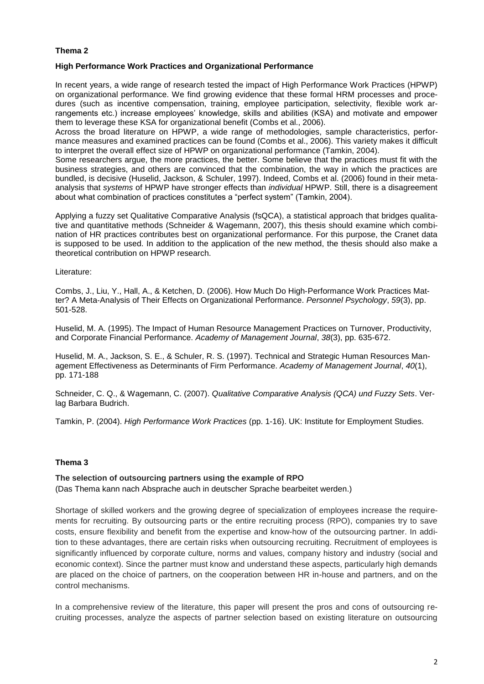### **Thema 2**

#### **High Performance Work Practices and Organizational Performance**

In recent years, a wide range of research tested the impact of High Performance Work Practices (HPWP) on organizational performance. We find growing evidence that these formal HRM processes and procedures (such as incentive compensation, training, employee participation, selectivity, flexible work arrangements etc.) increase employees' knowledge, skills and abilities (KSA) and motivate and empower them to leverage these KSA for organizational benefit (Combs et al., 2006).

Across the broad literature on HPWP, a wide range of methodologies, sample characteristics, performance measures and examined practices can be found (Combs et al., 2006). This variety makes it difficult to interpret the overall effect size of HPWP on organizational performance (Tamkin, 2004).

Some researchers argue, the more practices, the better. Some believe that the practices must fit with the business strategies, and others are convinced that the combination, the way in which the practices are bundled, is decisive (Huselid, Jackson, & Schuler, 1997). Indeed, Combs et al. (2006) found in their metaanalysis that *systems* of HPWP have stronger effects than *individual* HPWP. Still, there is a disagreement about what combination of practices constitutes a "perfect system" (Tamkin, 2004).

Applying a fuzzy set Qualitative Comparative Analysis (fsQCA), a statistical approach that bridges qualitative and quantitative methods (Schneider & Wagemann, 2007), this thesis should examine which combination of HR practices contributes best on organizational performance. For this purpose, the Cranet data is supposed to be used. In addition to the application of the new method, the thesis should also make a theoretical contribution on HPWP research.

Literature:

Combs, J., Liu, Y., Hall, A., & Ketchen, D. (2006). How Much Do High‐Performance Work Practices Matter? A Meta‐Analysis of Their Effects on Organizational Performance. *Personnel Psychology*, *59*(3), pp. 501-528.

Huselid, M. A. (1995). The Impact of Human Resource Management Practices on Turnover, Productivity, and Corporate Financial Performance. *Academy of Management Journal*, *38*(3), pp. 635-672.

Huselid, M. A., Jackson, S. E., & Schuler, R. S. (1997). Technical and Strategic Human Resources Management Effectiveness as Determinants of Firm Performance. *Academy of Management Journal*, *40*(1), pp. 171-188

Schneider, C. Q., & Wagemann, C. (2007). *Qualitative Comparative Analysis (QCA) und Fuzzy Sets*. Verlag Barbara Budrich.

Tamkin, P. (2004). *High Performance Work Practices* (pp. 1-16). UK: Institute for Employment Studies.

#### **Thema 3**

#### **The selection of outsourcing partners using the example of RPO**

(Das Thema kann nach Absprache auch in deutscher Sprache bearbeitet werden.)

Shortage of skilled workers and the growing degree of specialization of employees increase the requirements for recruiting. By outsourcing parts or the entire recruiting process (RPO), companies try to save costs, ensure flexibility and benefit from the expertise and know-how of the outsourcing partner. In addition to these advantages, there are certain risks when outsourcing recruiting. Recruitment of employees is significantly influenced by corporate culture, norms and values, company history and industry (social and economic context). Since the partner must know and understand these aspects, particularly high demands are placed on the choice of partners, on the cooperation between HR in-house and partners, and on the control mechanisms.

In a comprehensive review of the literature, this paper will present the pros and cons of outsourcing recruiting processes, analyze the aspects of partner selection based on existing literature on outsourcing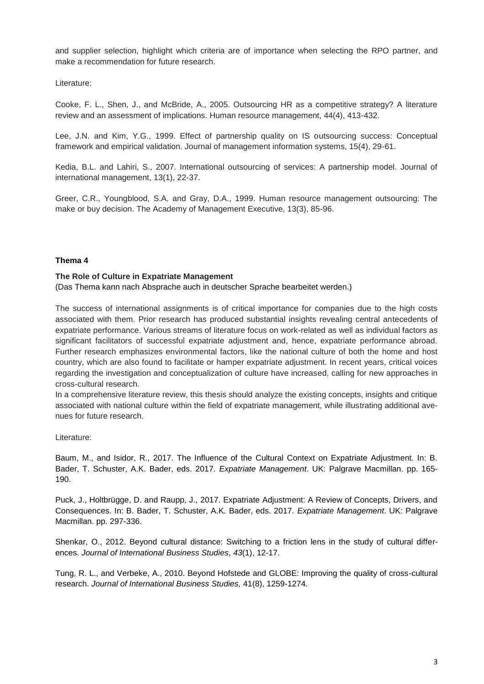and supplier selection, highlight which criteria are of importance when selecting the RPO partner, and make a recommendation for future research.

Literature:

Cooke, F. L., Shen, J., and McBride, A., 2005. Outsourcing HR as a competitive strategy? A literature review and an assessment of implications. Human resource management, 44(4), 413-432.

Lee, J.N. and Kim, Y.G., 1999. Effect of partnership quality on IS outsourcing success: Conceptual framework and empirical validation. Journal of management information systems, 15(4), 29-61.

Kedia, B.L. and Lahiri, S., 2007. International outsourcing of services: A partnership model. Journal of international management, 13(1), 22-37.

Greer, C.R., Youngblood, S.A. and Gray, D.A., 1999. Human resource management outsourcing: The make or buy decision. The Academy of Management Executive, 13(3), 85-96.

# **Thema 4**

#### **The Role of Culture in Expatriate Management**

(Das Thema kann nach Absprache auch in deutscher Sprache bearbeitet werden.)

The success of international assignments is of critical importance for companies due to the high costs associated with them. Prior research has produced substantial insights revealing central antecedents of expatriate performance. Various streams of literature focus on work-related as well as individual factors as significant facilitators of successful expatriate adjustment and, hence, expatriate performance abroad. Further research emphasizes environmental factors, like the national culture of both the home and host country, which are also found to facilitate or hamper expatriate adjustment. In recent years, critical voices regarding the investigation and conceptualization of culture have increased, calling for new approaches in cross-cultural research.

In a comprehensive literature review, this thesis should analyze the existing concepts, insights and critique associated with national culture within the field of expatriate management, while illustrating additional avenues for future research.

Literature:

Baum, M., and Isidor, R., 2017. The Influence of the Cultural Context on Expatriate Adjustment. In: B. Bader, T. Schuster, A.K. Bader, eds. 2017. *Expatriate Management*. UK: Palgrave Macmillan. pp. 165- 190.

Puck, J., Holtbrügge, D. and Raupp, J., 2017. Expatriate Adjustment: A Review of Concepts, Drivers, and Consequences. In: B. Bader, T. Schuster, A.K. Bader, eds. 2017. *Expatriate Management*. UK: Palgrave Macmillan. pp. 297-336.

Shenkar, O., 2012. Beyond cultural distance: Switching to a friction lens in the study of cultural differences. *Journal of International Business Studies*, *43*(1), 12-17.

Tung, R. L., and Verbeke, A., 2010. Beyond Hofstede and GLOBE: Improving the quality of cross-cultural research. *Journal of International Business Studies,* 41(8), 1259-1274.